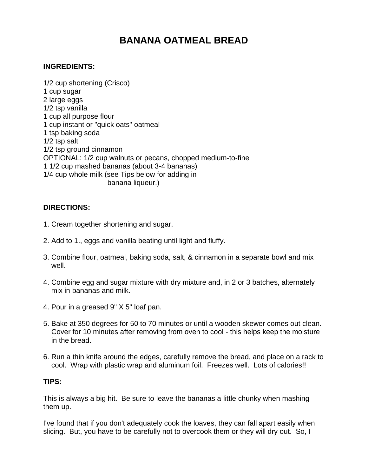## **BANANA OATMEAL BREAD**

## **INGREDIENTS:**

1/2 cup shortening (Crisco) 1 cup sugar 2 large eggs 1/2 tsp vanilla 1 cup all purpose flour 1 cup instant or "quick oats" oatmeal 1 tsp baking soda 1/2 tsp salt 1/2 tsp ground cinnamon OPTIONAL: 1/2 cup walnuts or pecans, chopped medium-to-fine 1 1/2 cup mashed bananas (about 3-4 bananas) 1/4 cup whole milk (see Tips below for adding in banana liqueur.)

## **DIRECTIONS:**

- 1. Cream together shortening and sugar.
- 2. Add to 1., eggs and vanilla beating until light and fluffy.
- 3. Combine flour, oatmeal, baking soda, salt, & cinnamon in a separate bowl and mix well.
- 4. Combine egg and sugar mixture with dry mixture and, in 2 or 3 batches, alternately mix in bananas and milk.
- 4. Pour in a greased 9" X 5" loaf pan.
- 5. Bake at 350 degrees for 50 to 70 minutes or until a wooden skewer comes out clean. Cover for 10 minutes after removing from oven to cool - this helps keep the moisture in the bread.
- 6. Run a thin knife around the edges, carefully remove the bread, and place on a rack to cool. Wrap with plastic wrap and aluminum foil. Freezes well. Lots of calories!!

## **TIPS:**

This is always a big hit. Be sure to leave the bananas a little chunky when mashing them up.

I've found that if you don't adequately cook the loaves, they can fall apart easily when slicing. But, you have to be carefully not to overcook them or they will dry out. So, I